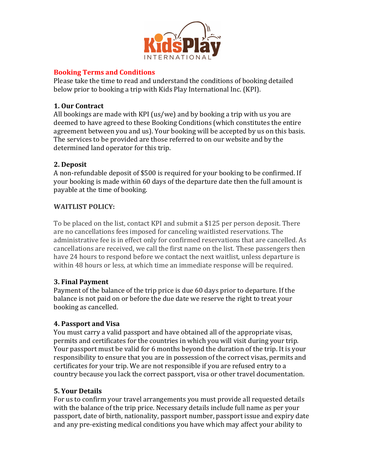

### **Booking Terms and Conditions**

Please take the time to read and understand the conditions of booking detailed below prior to booking a trip with Kids Play International Inc. (KPI).

#### **1. Our Contract**

All bookings are made with KPI (us/we) and by booking a trip with us you are deemed to have agreed to these Booking Conditions (which constitutes the entire agreement between you and us). Your booking will be accepted by us on this basis. The services to be provided are those referred to on our website and by the determined land operator for this trip.

### **2. Deposit**

A non-refundable deposit of \$500 is required for your booking to be confirmed. If your booking is made within 60 days of the departure date then the full amount is payable at the time of booking.

### **WAITLIST POLICY:**

To be placed on the list, contact KPI and submit a \$125 per person deposit. There are no cancellations fees imposed for canceling waitlisted reservations. The administrative fee is in effect only for confirmed reservations that are cancelled. As cancellations are received, we call the first name on the list. These passengers then have 24 hours to respond before we contact the next waitlist, unless departure is within 48 hours or less, at which time an immediate response will be required.

#### **3. Final Payment**

Payment of the balance of the trip price is due 60 days prior to departure. If the balance is not paid on or before the due date we reserve the right to treat your booking as cancelled.

#### **4. Passport and Visa**

You must carry a valid passport and have obtained all of the appropriate visas, permits and certificates for the countries in which you will visit during your trip. Your passport must be valid for 6 months beyond the duration of the trip. It is your responsibility to ensure that you are in possession of the correct visas, permits and certificates for your trip. We are not responsible if you are refused entry to a country because you lack the correct passport, visa or other travel documentation.

## **5. Your Details**

For us to confirm your travel arrangements you must provide all requested details with the balance of the trip price. Necessary details include full name as per your passport, date of birth, nationality, passport number, passport issue and expiry date and any pre-existing medical conditions you have which may affect your ability to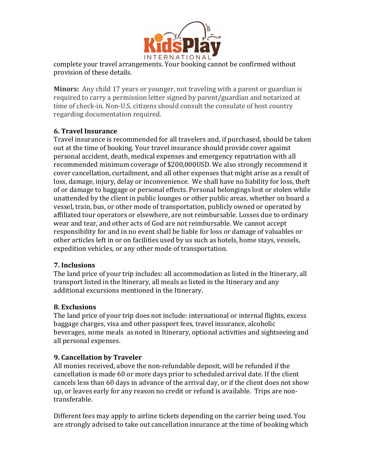

complete your travel arrangements. Your booking cannot be confirmed without provision of these details.

**Minors:** Any child 17 years or younger, not traveling with a parent or guardian is required to carry a permission letter signed by parent/guardian and notarized at time of check-in. Non-U.S. citizens should consult the consulate of host country regarding documentation required.

## **6. Travel Insurance**

Travel insurance is recommended for all travelers and, if purchased, should be taken out at the time of booking. Your travel insurance should provide cover against personal accident, death, medical expenses and emergency repatriation with all recommended minimum coverage of \$200,000USD. We also strongly recommend it cover cancellation, curtailment, and all other expenses that might arise as a result of loss, damage, injury, delay or inconvenience. We shall have no liability for loss, theft of or damage to baggage or personal effects. Personal belongings lost or stolen while unattended by the client in public lounges or other public areas, whether on board a vessel, train, bus, or other mode of transportation, publicly owned or operated by affiliated tour operators or elsewhere, are not reimbursable. Losses due to ordinary wear and tear, and other acts of God are not reimbursable. We cannot accept responsibility for and in no event shall be liable for loss or damage of valuables or other articles left in or on facilities used by us such as hotels, home stays, vessels, expedition vehicles, or any other mode of transportation.

#### **7. Inclusions**

The land price of your trip includes: all accommodation as listed in the Itinerary, all transport listed in the Itinerary, all meals as listed in the Itinerary and any additional excursions mentioned in the Itinerary.

#### **8. Exclusions**

The land price of your trip does not include: international or internal flights, excess baggage charges, visa and other passport fees, travel insurance, alcoholic beverages, some meals as noted in Itinerary, optional activities and sightseeing and all personal expenses.

## **9. Cancellation by Traveler**

All monies received, above the non-refundable deposit, will be refunded if the cancellation is made 60 or more days prior to scheduled arrival date. If the client cancels less than 60 days in advance of the arrival day, or if the client does not show up, or leaves early for any reason no credit or refund is available. Trips are nontransferable.

Different fees may apply to airline tickets depending on the carrier being used. You are strongly advised to take out cancellation insurance at the time of booking which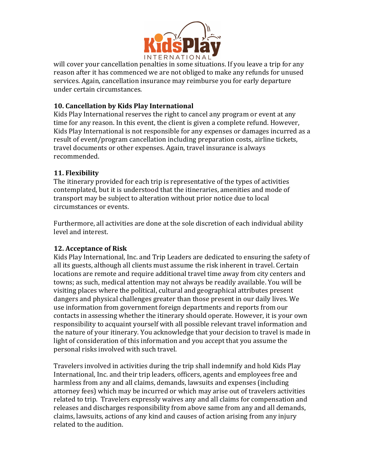

will cover your cancellation penalties in some situations. If you leave a trip for any reason after it has commenced we are not obliged to make any refunds for unused services. Again, cancellation insurance may reimburse you for early departure under certain circumstances.

## **10. Cancellation by Kids Play International**

Kids Play International reserves the right to cancel any program or event at any time for any reason. In this event, the client is given a complete refund. However, Kids Play International is not responsible for any expenses or damages incurred as a result of event/program cancellation including preparation costs, airline tickets, travel documents or other expenses. Again, travel insurance is always recommended.

#### **11. Flexibility**

The itinerary provided for each trip is representative of the types of activities contemplated, but it is understood that the itineraries, amenities and mode of transport may be subject to alteration without prior notice due to local circumstances or events.

Furthermore, all activities are done at the sole discretion of each individual ability level and interest.

#### **12. Acceptance of Risk**

Kids Play International, Inc. and Trip Leaders are dedicated to ensuring the safety of all its guests, although all clients must assume the risk inherent in travel. Certain locations are remote and require additional travel time away from city centers and towns; as such, medical attention may not always be readily available. You will be visiting places where the political, cultural and geographical attributes present dangers and physical challenges greater than those present in our daily lives. We use information from government foreign departments and reports from our contacts in assessing whether the itinerary should operate. However, it is your own responsibility to acquaint yourself with all possible relevant travel information and the nature of your itinerary. You acknowledge that your decision to travel is made in light of consideration of this information and you accept that you assume the personal risks involved with such travel.

Travelers involved in activities during the trip shall indemnify and hold Kids Play International, Inc. and their trip leaders, officers, agents and employees free and harmless from any and all claims, demands, lawsuits and expenses (including attorney fees) which may be incurred or which may arise out of travelers activities related to trip. Travelers expressly waives any and all claims for compensation and releases and discharges responsibility from above same from any and all demands, claims, lawsuits, actions of any kind and causes of action arising from any injury related to the audition.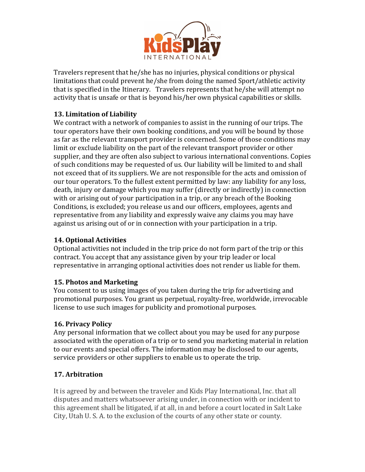

Travelers represent that he/she has no injuries, physical conditions or physical limitations that could prevent he/she from doing the named Sport/athletic activity that is specified in the Itinerary. Travelers represents that  $he/she$  will attempt no activity that is unsafe or that is beyond his/her own physical capabilities or skills.

# **13. Limitation of Liability**

We contract with a network of companies to assist in the running of our trips. The tour operators have their own booking conditions, and you will be bound by those as far as the relevant transport provider is concerned. Some of those conditions may limit or exclude liability on the part of the relevant transport provider or other supplier, and they are often also subject to various international conventions. Copies of such conditions may be requested of us. Our liability will be limited to and shall not exceed that of its suppliers. We are not responsible for the acts and omission of our tour operators. To the fullest extent permitted by law: any liability for any loss, death, injury or damage which you may suffer (directly or indirectly) in connection with or arising out of your participation in a trip, or any breach of the Booking Conditions, is excluded; you release us and our officers, employees, agents and representative from any liability and expressly waive any claims you may have against us arising out of or in connection with your participation in a trip.

## **14. Optional Activities**

Optional activities not included in the trip price do not form part of the trip or this contract. You accept that any assistance given by your trip leader or local representative in arranging optional activities does not render us liable for them.

## **15. Photos and Marketing**

You consent to us using images of you taken during the trip for advertising and promotional purposes. You grant us perpetual, royalty-free, worldwide, irrevocable license to use such images for publicity and promotional purposes.

## **16. Privacy Policy**

Any personal information that we collect about you may be used for any purpose associated with the operation of a trip or to send you marketing material in relation to our events and special offers. The information may be disclosed to our agents, service providers or other suppliers to enable us to operate the trip.

## **17. Arbitration**

It is agreed by and between the traveler and Kids Play International, Inc. that all disputes and matters whatsoever arising under, in connection with or incident to this agreement shall be litigated, if at all, in and before a court located in Salt Lake City, Utah U. S. A. to the exclusion of the courts of any other state or county.